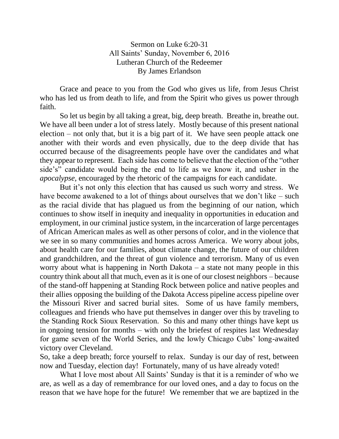Sermon on Luke 6:20-31 All Saints' Sunday, November 6, 2016 Lutheran Church of the Redeemer By James Erlandson

Grace and peace to you from the God who gives us life, from Jesus Christ who has led us from death to life, and from the Spirit who gives us power through faith.

So let us begin by all taking a great, big, deep breath. Breathe in, breathe out. We have all been under a lot of stress lately. Mostly because of this present national election – not only that, but it is a big part of it. We have seen people attack one another with their words and even physically, due to the deep divide that has occurred because of the disagreements people have over the candidates and what they appear to represent. Each side has come to believe that the election of the "other side's" candidate would being the end to life as we know it, and usher in the *apocalypse,* encouraged by the rhetoric of the campaigns for each candidate.

But it's not only this election that has caused us such worry and stress. We have become awakened to a lot of things about ourselves that we don't like – such as the racial divide that has plagued us from the beginning of our nation, which continues to show itself in inequity and inequality in opportunities in education and employment, in our criminal justice system, in the incarceration of large percentages of African American males as well as other persons of color, and in the violence that we see in so many communities and homes across America. We worry about jobs, about health care for our families, about climate change, the future of our children and grandchildren, and the threat of gun violence and terrorism. Many of us even worry about what is happening in North Dakota – a state not many people in this country think about all that much, even as it is one of our closest neighbors – because of the stand-off happening at Standing Rock between police and native peoples and their allies opposing the building of the Dakota Access pipeline access pipeline over the Missouri River and sacred burial sites. Some of us have family members, colleagues and friends who have put themselves in danger over this by traveling to the Standing Rock Sioux Reservation. So this and many other things have kept us in ongoing tension for months – with only the briefest of respites last Wednesday for game seven of the World Series, and the lowly Chicago Cubs' long-awaited victory over Cleveland.

So, take a deep breath; force yourself to relax. Sunday is our day of rest, between now and Tuesday, election day! Fortunately, many of us have already voted!

What I love most about All Saints' Sunday is that it is a reminder of who we are, as well as a day of remembrance for our loved ones, and a day to focus on the reason that we have hope for the future! We remember that we are baptized in the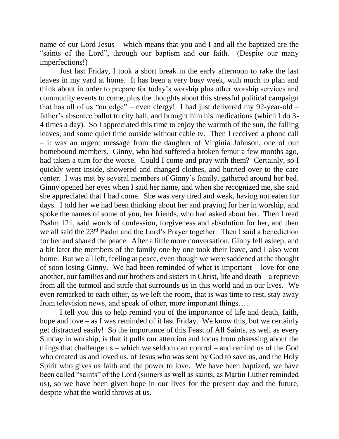name of our Lord Jesus – which means that you and I and all the baptized are the "saints of the Lord", through our baptism and our faith. (Despite our many imperfections!)

Just last Friday, I took a short break in the early afternoon to rake the last leaves in my yard at home. It has been a very busy week, with much to plan and think about in order to prepare for today's worship plus other worship services and community events to come, plus the thoughts about this stressful political campaign that has all of us "on edge" – even clergy! I had just delivered my 92-year-old – father's absentee ballot to city hall, and brought him his medications (which I do 3- 4 times a day). So I appreciated this time to enjoy the warmth of the sun, the falling leaves, and some quiet time outside without cable tv. Then I received a phone call – it was an urgent message from the daughter of Virginia Johnson, one of our homebound members. Ginny, who had suffered a broken femur a few months ago, had taken a turn for the worse. Could I come and pray with them? Certainly, so I quickly went inside, showered and changed clothes, and hurried over to the care center. I was met by several members of Ginny's family, gathered around her bed. Ginny opened her eyes when I said her name, and when she recognized me, she said she appreciated that I had come. She was very tired and weak, having not eaten for days. I told her we had been thinking about her and praying for her in worship, and spoke the names of some of you, her friends, who had asked about her. Then I read Psalm 121, said words of confession, forgiveness and absolution for her, and then we all said the 23rd Psalm and the Lord's Prayer together. Then I said a benediction for her and shared the peace. After a little more conversation, Ginny fell asleep, and a bit later the members of the family one by one took their leave, and I also went home. But we all left, feeling at peace, even though we were saddened at the thought of soon losing Ginny. We had been reminded of what is important – love for one another, our families and our brothers and sisters in Christ, life and death – a reprieve from all the turmoil and strife that surrounds us in this world and in our lives. We even remarked to each other, as we left the room, that is was time to rest, stay away from television news, and speak of other, more important things…..

I tell you this to help remind you of the importance of life and death, faith, hope and love – as I was reminded of it last Friday. We know this, but we certainly get distracted easily! So the importance of this Feast of All Saints, as well as every Sunday in worship, is that it pulls our attention and focus from obsessing about the things that challenge us – which we seldom can control – and remind us of the God who created us and loved us, of Jesus who was sent by God to save us, and the Holy Spirit who gives us faith and the power to love. We have been baptized, we have been called "saints" of the Lord (sinners as well as saints, as Martin Luther reminded us), so we have been given hope in our lives for the present day and the future, despite what the world throws at us.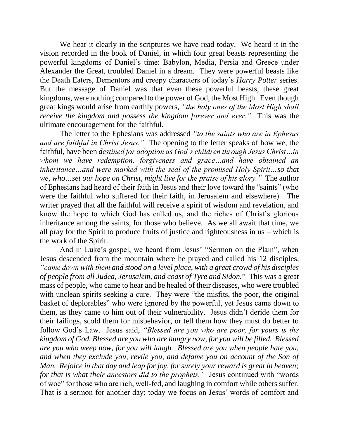We hear it clearly in the scriptures we have read today. We heard it in the vision recorded in the book of Daniel, in which four great beasts representing the powerful kingdoms of Daniel's time: Babylon, Media, Persia and Greece under Alexander the Great, troubled Daniel in a dream. They were powerful beasts like the Death Eaters, Dementors and creepy characters of today's *Harry Potter* series. But the message of Daniel was that even these powerful beasts, these great kingdoms, were nothing compared to the power of God, the Most High. Even though great kings would arise from earthly powers, *"the holy ones of the Most High shall receive the kingdom and possess the kingdom forever and ever."* This was the ultimate encouragement for the faithful.

The letter to the Ephesians was addressed *"to the saints who are in Ephesus and are faithful in Christ Jesus."* The opening to the letter speaks of how we, the faithful, have been *destined for adoption as God's children through Jesus Christ…in whom we have redemption, forgiveness and grace…and have obtained an inheritance…and were marked with the seal of the promised Holy Spirit…so that we, who…set our hope on Christ, might live for the praise of his glory."* The author of Ephesians had heard of their faith in Jesus and their love toward the "saints" (who were the faithful who suffered for their faith, in Jerusalem and elsewhere). The writer prayed that all the faithful will receive a spirit of wisdom and revelation, and know the hope to which God has called us, and the riches of Christ's glorious inheritance among the saints, for those who believe. As we all await that time, we all pray for the Spirit to produce fruits of justice and righteousness in us – which is the work of the Spirit.

And in Luke's gospel, we heard from Jesus' "Sermon on the Plain", when Jesus descended from the mountain where he prayed and called his 12 disciples, *"came down with them and stood on a level place, with a great crowd of his disciples of people from all Judea, Jerusalem, and coast of Tyre and Sidon.*" This was a great mass of people, who came to hear and be healed of their diseases, who were troubled with unclean spirits seeking a cure. They were "the misfits, the poor, the original basket of deplorables" who were ignored by the powerful, yet Jesus came down to them, as they came to him out of their vulnerability. Jesus didn't deride them for their failings, scold them for misbehavior, or tell them how they must do better to follow God's Law. Jesus said, *"Blessed are you who are poor, for yours is the kingdom of God. Blessed are you who are hungry now, for you will be filled. Blessed are you who weep now, for you will laugh. Blessed are you when people hate you, and when they exclude you, revile you, and defame you on account of the Son of Man. Rejoice in that day and leap for joy, for surely your reward is great in heaven; for that is what their ancestors did to the prophets."* Jesus continued with "words of woe" for those who are rich, well-fed, and laughing in comfort while others suffer. That is a sermon for another day; today we focus on Jesus' words of comfort and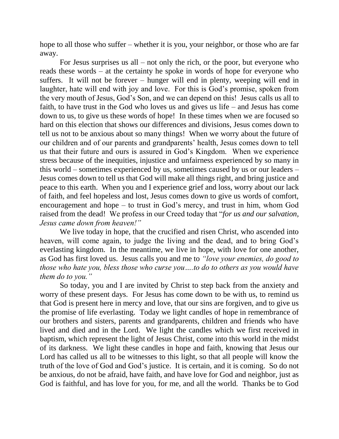hope to all those who suffer – whether it is you, your neighbor, or those who are far away.

For Jesus surprises us all  $-$  not only the rich, or the poor, but everyone who reads these words – at the certainty he spoke in words of hope for everyone who suffers. It will not be forever – hunger will end in plenty, weeping will end in laughter, hate will end with joy and love. For this is God's promise, spoken from the very mouth of Jesus, God's Son, and we can depend on this! Jesus calls us all to faith, to have trust in the God who loves us and gives us life – and Jesus has come down to us, to give us these words of hope! In these times when we are focused so hard on this election that shows our differences and divisions, Jesus comes down to tell us not to be anxious about so many things! When we worry about the future of our children and of our parents and grandparents' health, Jesus comes down to tell us that their future and ours is assured in God's Kingdom. When we experience stress because of the inequities, injustice and unfairness experienced by so many in this world – sometimes experienced by us, sometimes caused by us or our leaders – Jesus comes down to tell us that God will make all things right, and bring justice and peace to this earth. When you and I experience grief and loss, worry about our lack of faith, and feel hopeless and lost, Jesus comes down to give us words of comfort, encouragement and hope – to trust in God's mercy, and trust in him, whom God raised from the dead! We profess in our Creed today that "*for us and our salvation, Jesus came down from heaven!"*

We live today in hope, that the crucified and risen Christ, who ascended into heaven, will come again, to judge the living and the dead, and to bring God's everlasting kingdom. In the meantime, we live in hope, with love for one another, as God has first loved us. Jesus calls you and me to *"love your enemies, do good to those who hate you, bless those who curse you….to do to others as you would have them do to you."*

So today, you and I are invited by Christ to step back from the anxiety and worry of these present days. For Jesus has come down to be with us, to remind us that God is present here in mercy and love, that our sins are forgiven, and to give us the promise of life everlasting. Today we light candles of hope in remembrance of our brothers and sisters, parents and grandparents, children and friends who have lived and died and in the Lord. We light the candles which we first received in baptism, which represent the light of Jesus Christ, come into this world in the midst of its darkness. We light these candles in hope and faith, knowing that Jesus our Lord has called us all to be witnesses to this light, so that all people will know the truth of the love of God and God's justice. It is certain, and it is coming. So do not be anxious, do not be afraid, have faith, and have love for God and neighbor, just as God is faithful, and has love for you, for me, and all the world. Thanks be to God